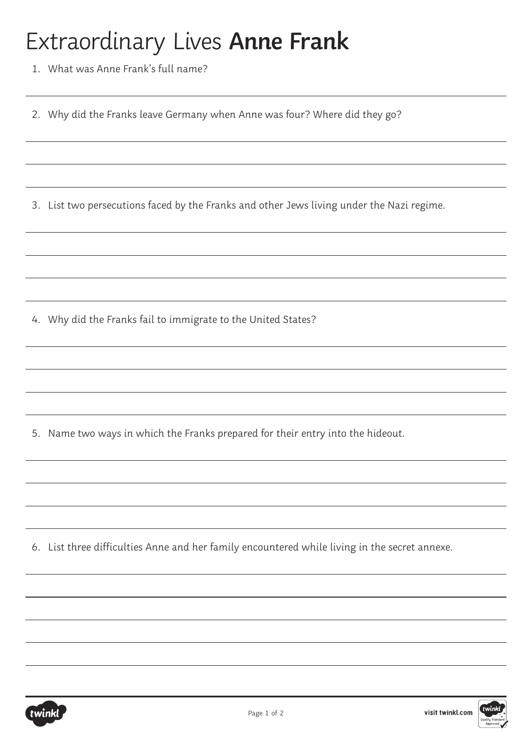## Extraordinary Lives **Anne Frank**

1. What was Anne Frank's full name?

2. Why did the Franks leave Germany when Anne was four? Where did they go?

3. List two persecutions faced by the Franks and other Jews living under the Nazi regime.

4. Why did the Franks fail to immigrate to the United States?

5. Name two ways in which the Franks prepared for their entry into the hideout.

6. List three difficulties Anne and her family encountered while living in the secret annexe.